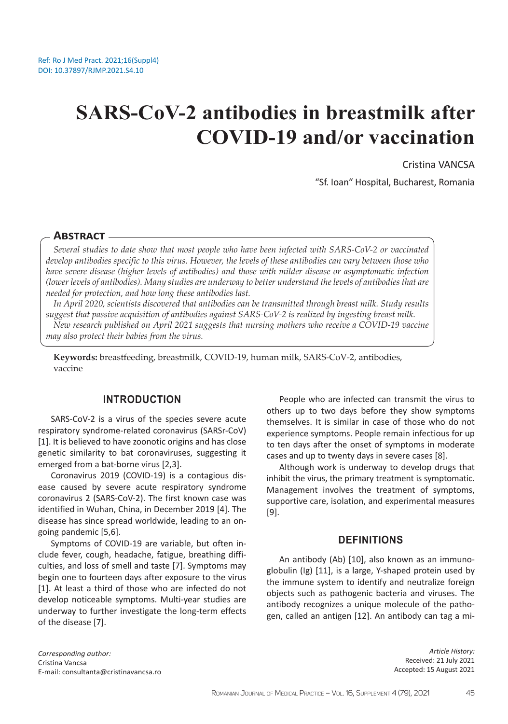# **SARS-CoV-2 antibodies in breastmilk after COVID-19 and/or vaccination**

Cristina VANCSA

"Sf. Ioan" Hospital, Bucharest, Romania

# **Abstract**

*Several studies to date show that most people who have been infected with SARS-CoV-2 or vaccinated develop antibodies specific to this virus. However, the levels of these antibodies can vary between those who have severe disease (higher levels of antibodies) and those with milder disease or asymptomatic infection (lower levels of antibodies). Many studies are underway to better understand the levels of antibodies that are needed for protection, and how long these antibodies last.*

*In April 2020, scientists discovered that antibodies can be transmitted through breast milk. Study results suggest that passive acquisition of antibodies against SARS-CoV-2 is realized by ingesting breast milk. New research published on April 2021 suggests that nursing mothers who receive a COVID-19 vaccine* 

*may also protect their babies from the virus.*

**Keywords:** breastfeeding, breastmilk, COVID-19, human milk, SARS-CoV-2, antibodies, vaccine

# **INTRODUCTION**

SARS-CoV-2 is a virus of the species severe acute respiratory syndrome-related coronavirus (SARSr-CoV) [1]. It is believed to have zoonotic origins and has close genetic similarity to bat coronaviruses, suggesting it emerged from a bat-borne virus [2,3].

Coronavirus 2019 (COVID-19) is a contagious disease caused by severe acute respiratory syndrome coronavirus 2 (SARS-CoV-2). The first known case was identified in Wuhan, China, in December 2019 [4]. The disease has since spread worldwide, leading to an ongoing pandemic [5,6].

Symptoms of COVID-19 are variable, but often include fever, cough, headache, fatigue, breathing difficulties, and loss of smell and taste [7]. Symptoms may begin one to fourteen days after exposure to the virus [1]. At least a third of those who are infected do not develop noticeable symptoms. Multi-year studies are underway to further investigate the long-term effects of the disease [7].

People who are infected can transmit the virus to others up to two days before they show symptoms themselves. It is similar in case of those who do not experience symptoms. People remain infectious for up to ten days after the onset of symptoms in moderate cases and up to twenty days in severe cases [8].

Although work is underway to develop drugs that inhibit the virus, the primary treatment is symptomatic. Management involves the treatment of symptoms, supportive care, isolation, and experimental measures [9].

## **DEFINITIONS**

An antibody (Ab) [10], also known as an immunoglobulin (Ig) [11], is a large, Y-shaped protein used by the immune system to identify and neutralize foreign objects such as pathogenic bacteria and viruses. The antibody recognizes a unique molecule of the pathogen, called an antigen [12]. An antibody can tag a mi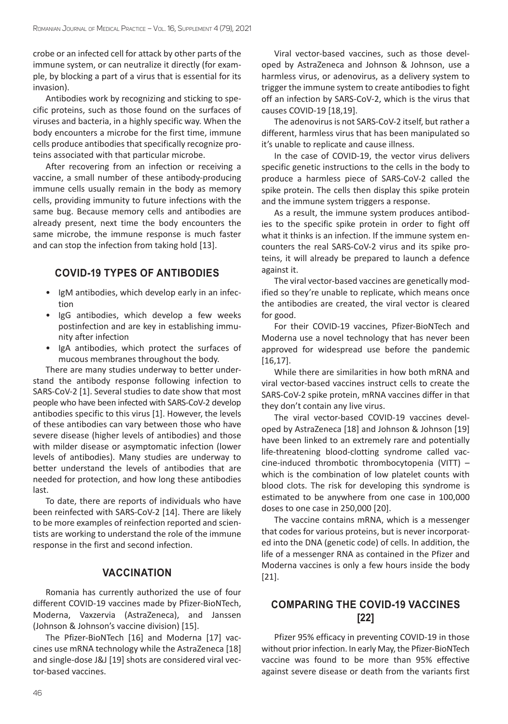crobe or an infected cell for attack by other parts of the immune system, or can neutralize it directly (for example, by blocking a part of a virus that is essential for its invasion).

Antibodies work by recognizing and sticking to specific proteins, such as those found on the surfaces of viruses and bacteria, in a highly specific way. When the body encounters a microbe for the first time, immune cells produce antibodies that specifically recognize proteins associated with that particular microbe.

After recovering from an infection or receiving a vaccine, a small number of these antibody-producing immune cells usually remain in the body as memory cells, providing immunity to future infections with the same bug. Because memory cells and antibodies are already present, next time the body encounters the same microbe, the immune response is much faster and can stop the infection from taking hold [13].

# **COVID-19 TYPES OF ANTIBODIES**

- IgM antibodies, which develop early in an infection
- IgG antibodies, which develop a few weeks postinfection and are key in establishing immunity after infection
- IgA antibodies, which protect the surfaces of mucous membranes throughout the body.

There are many studies underway to better understand the antibody response following infection to SARS-CoV-2 [1]. Several studies to date show that most people who have been infected with SARS-CoV-2 develop antibodies specific to this virus [1]. However, the levels of these antibodies can vary between those who have severe disease (higher levels of antibodies) and those with milder disease or asymptomatic infection (lower levels of antibodies). Many studies are underway to better understand the levels of antibodies that are needed for protection, and how long these antibodies last.

To date, there are reports of individuals who have been reinfected with SARS-CoV-2 [14]. There are likely to be more examples of reinfection reported and scientists are working to understand the role of the immune response in the first and second infection.

# **VACCINATION**

Romania has currently authorized the use of four different COVID-19 vaccines made by Pfizer-BioNTech, Moderna, Vaxzervia (AstraZeneca), and Janssen (Johnson & Johnson's vaccine division) [15].

The Pfizer-BioNTech [16] and Moderna [17] vaccines use mRNA technology while the AstraZeneca [18] and single-dose J&J [19] shots are considered viral vector-based vaccines.

Viral vector-based vaccines, such as those developed by AstraZeneca and Johnson & Johnson, use a harmless virus, or adenovirus, as a delivery system to trigger the immune system to create antibodies to fight off an infection by SARS-CoV-2, which is the virus that causes COVID-19 [18,19].

The adenovirus is not SARS-CoV-2 itself, but rather a different, harmless virus that has been manipulated so it's unable to replicate and cause illness.

In the case of COVID-19, the vector virus delivers specific genetic instructions to the cells in the body to produce a harmless piece of SARS-CoV-2 called the spike protein. The cells then display this spike protein and the immune system triggers a response.

As a result, the immune system produces antibodies to the specific spike protein in order to fight off what it thinks is an infection. If the immune system encounters the real SARS-CoV-2 virus and its spike proteins, it will already be prepared to launch a defence against it.

The viral vector-based vaccines are genetically modified so they're unable to replicate, which means once the antibodies are created, the viral vector is cleared for good.

For their COVID-19 vaccines, Pfizer-BioNTech and Moderna use a novel technology that has never been approved for widespread use before the pandemic [16,17].

While there are similarities in how both mRNA and viral vector-based vaccines instruct cells to create the SARS-CoV-2 spike protein, mRNA vaccines differ in that they don't contain any live virus.

The viral vector-based COVID-19 vaccines developed by AstraZeneca [18] and Johnson & Johnson [19] have been linked to an extremely rare and potentially life-threatening blood-clotting syndrome called vaccine-induced thrombotic thrombocytopenia (VITT) – which is the combination of low platelet counts with blood clots. The risk for developing this syndrome is estimated to be anywhere from one case in 100,000 doses to one case in 250,000 [20].

The vaccine contains mRNA, which is a messenger that codes for various proteins, but is never incorporated into the DNA (genetic code) of cells. In addition, the life of a messenger RNA as contained in the Pfizer and Moderna vaccines is only a few hours inside the body [21].

# **COMPARING THE COVID-19 VACCINES [22]**

Pfizer 95% efficacy in preventing COVID-19 in those without prior infection. In early May, the Pfizer-BioNTech vaccine was found to be more than 95% effective against severe disease or death from the variants first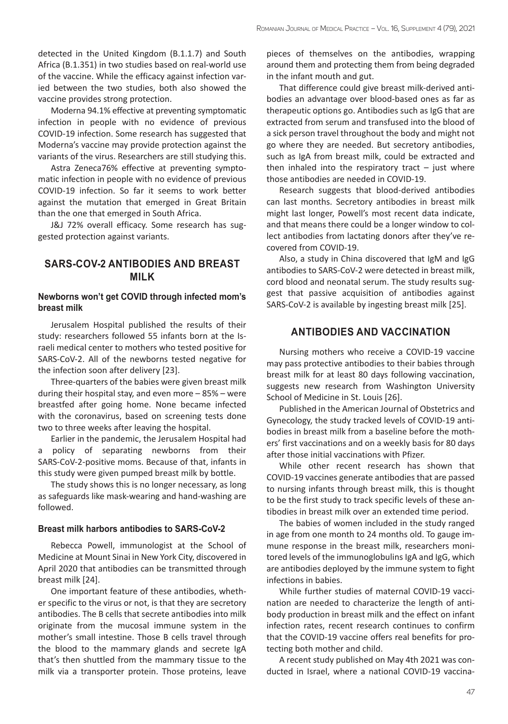detected in the United Kingdom (B.1.1.7) and South Africa (B.1.351) in two studies based on real-world use of the vaccine. While the efficacy against infection varied between the two studies, both also showed the vaccine provides strong protection.

Moderna 94.1% effective at preventing symptomatic infection in people with no evidence of previous COVID-19 infection. Some research has suggested that Moderna's vaccine may provide protection against the variants of the virus. Researchers are still studying this.

Astra Zeneca76% effective at preventing symptomatic infection in people with no evidence of previous COVID-19 infection. So far it seems to work better against the mutation that emerged in Great Britain than the one that emerged in South Africa.

J&J 72% overall efficacy. Some research has suggested protection against variants.

# **SARS-COV-2 ANTIBODIES AND BREAST MILK**

#### **Newborns won't get COVID through infected mom's breast milk**

Jerusalem Hospital published the results of their study: researchers followed 55 infants born at the Israeli medical center to mothers who tested positive for SARS-CoV-2. All of the newborns tested negative for the infection soon after delivery [23].

Three-quarters of the babies were given breast milk during their hospital stay, and even more – 85% – were breastfed after going home. None became infected with the coronavirus, based on screening tests done two to three weeks after leaving the hospital.

Earlier in the pandemic, the Jerusalem Hospital had a policy of separating newborns from their SARS-CoV-2-positive moms. Because of that, infants in this study were given pumped breast milk by bottle.

The study shows this is no longer necessary, as long as safeguards like mask-wearing and hand-washing are followed.

#### **Breast milk harbors antibodies to SARS-CoV-2**

Rebecca Powell, immunologist at the School of Medicine at Mount Sinai in New York City, discovered in April 2020 that antibodies can be transmitted through breast milk [24].

One important feature of these antibodies, whether specific to the virus or not, is that they are secretory antibodies. The B cells that secrete antibodies into milk originate from the mucosal immune system in the mother's small intestine. Those B cells travel through the blood to the mammary glands and secrete IgA that's then shuttled from the mammary tissue to the milk via a transporter protein. Those proteins, leave

pieces of themselves on the antibodies, wrapping around them and protecting them from being degraded in the infant mouth and gut.

That difference could give breast milk-derived antibodies an advantage over blood-based ones as far as therapeutic options go. Antibodies such as IgG that are extracted from serum and transfused into the blood of a sick person travel throughout the body and might not go where they are needed. But secretory antibodies, such as IgA from breast milk, could be extracted and then inhaled into the respiratory tract  $-$  just where those antibodies are needed in COVID-19.

Research suggests that blood-derived antibodies can last months. Secretory antibodies in breast milk might last longer, Powell's most recent data indicate, and that means there could be a longer window to collect antibodies from lactating donors after they've recovered from COVID-19.

Also, a study in China discovered that IgM and IgG antibodies to SARS-CoV-2 were detected in breast milk, cord blood and neonatal serum. The study results suggest that passive acquisition of antibodies against SARS-CoV-2 is available by ingesting breast milk [25].

# **ANTIBODIES AND VACCINATION**

Nursing mothers who receive a COVID-19 vaccine may pass protective antibodies to their babies through breast milk for at least 80 days following vaccination, suggests new research from Washington University School of Medicine in St. Louis [26].

Published in the American Journal of Obstetrics and Gynecology, the study tracked levels of COVID-19 antibodies in breast milk from a baseline before the mothers' first vaccinations and on a weekly basis for 80 days after those initial vaccinations with Pfizer.

While other recent research has shown that COVID-19 vaccines generate antibodies that are passed to nursing infants through breast milk, this is thought to be the first study to track specific levels of these antibodies in breast milk over an extended time period.

The babies of women included in the study ranged in age from one month to 24 months old. To gauge immune response in the breast milk, researchers monitored levels of the immunoglobulins IgA and IgG, which are antibodies deployed by the immune system to fight infections in babies.

While further studies of maternal COVID-19 vaccination are needed to characterize the length of antibody production in breast milk and the effect on infant infection rates, recent research continues to confirm that the COVID-19 vaccine offers real benefits for protecting both mother and child.

A recent study published on May 4th 2021 was conducted in Israel, where a national COVID-19 vaccina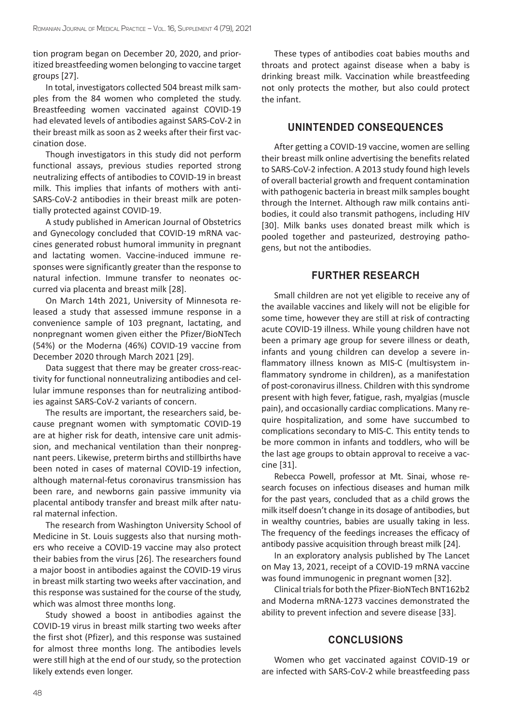tion program began on December 20, 2020, and prioritized breastfeeding women belonging to vaccine target groups [27].

In total, investigators collected 504 breast milk samples from the 84 women who completed the study. Breastfeeding women vaccinated against COVID-19 had elevated levels of antibodies against SARS-CoV-2 in their breast milk as soon as 2 weeks after their first vaccination dose.

Though investigators in this study did not perform functional assays, previous studies reported strong neutralizing effects of antibodies to COVID-19 in breast milk. This implies that infants of mothers with anti-SARS-CoV-2 antibodies in their breast milk are potentially protected against COVID-19.

A study published in American Journal of Obstetrics and Gynecology concluded that COVID-19 mRNA vaccines generated robust humoral immunity in pregnant and lactating women. Vaccine-induced immune responses were significantly greater than the response to natural infection. Immune transfer to neonates occurred via placenta and breast milk [28].

On March 14th 2021, University of Minnesota released a study that assessed immune response in a convenience sample of 103 pregnant, lactating, and nonpregnant women given either the Pfizer/BioNTech (54%) or the Moderna (46%) COVID-19 vaccine from December 2020 through March 2021 [29].

Data suggest that there may be greater cross-reactivity for functional nonneutralizing antibodies and cellular immune responses than for neutralizing antibodies against SARS-CoV-2 variants of concern.

The results are important, the researchers said, because pregnant women with symptomatic COVID-19 are at higher risk for death, intensive care unit admission, and mechanical ventilation than their nonpregnant peers. Likewise, preterm births and stillbirths have been noted in cases of maternal COVID-19 infection, although maternal-fetus coronavirus transmission has been rare, and newborns gain passive immunity via placental antibody transfer and breast milk after natural maternal infection.

The research from Washington University School of Medicine in St. Louis suggests also that nursing mothers who receive a COVID-19 vaccine may also protect their babies from the virus [26]. The researchers found a major boost in antibodies against the COVID-19 virus in breast milk starting two weeks after vaccination, and this response was sustained for the course of the study, which was almost three months long.

Study showed a boost in antibodies against the COVID-19 virus in breast milk starting two weeks after the first shot (Pfizer), and this response was sustained for almost three months long. The antibodies levels were still high at the end of our study, so the protection likely extends even longer.

These types of antibodies coat babies mouths and throats and protect against disease when a baby is drinking breast milk. Vaccination while breastfeeding not only protects the mother, but also could protect the infant.

# **UNINTENDED CONSEQUENCES**

After getting a COVID-19 vaccine, women are selling their breast milk online advertising the benefits related to SARS-CoV-2 infection. A 2013 study found high levels of overall bacterial growth and frequent contamination with pathogenic bacteria in breast milk samples bought through the Internet. Although raw milk contains antibodies, it could also transmit pathogens, including HIV [30]. Milk banks uses donated breast milk which is pooled together and pasteurized, destroying pathogens, but not the antibodies.

# **FURTHER RESEARCH**

Small children are not yet eligible to receive any of the available vaccines and likely will not be eligible for some time, however they are still at risk of contracting acute COVID-19 illness. While young children have not been a primary age group for severe illness or death, infants and young children can develop a severe inflammatory illness known as MIS-C (multisystem inflammatory syndrome in children), as a manifestation of post-coronavirus illness. Children with this syndrome present with high fever, fatigue, rash, myalgias (muscle pain), and occasionally cardiac complications. Many require hospitalization, and some have succumbed to complications secondary to MIS-C. This entity tends to be more common in infants and toddlers, who will be the last age groups to obtain approval to receive a vaccine [31].

Rebecca Powell, professor at Mt. Sinai, whose research focuses on infectious diseases and human milk for the past years, concluded that as a child grows the milk itself doesn't change in its dosage of antibodies, but in wealthy countries, babies are usually taking in less. The frequency of the feedings increases the efficacy of antibody passive acquisition through breast milk [24].

In an exploratory analysis published by The Lancet on May 13, 2021, receipt of a COVID-19 mRNA vaccine was found immunogenic in pregnant women [32].

Clinical trials for both the Pfizer-BioNTech BNT162b2 and Moderna mRNA-1273 vaccines demonstrated the ability to prevent infection and severe disease [33].

## **CONCLUSIONS**

Women who get vaccinated against COVID-19 or are infected with SARS-CoV-2 while breastfeeding pass